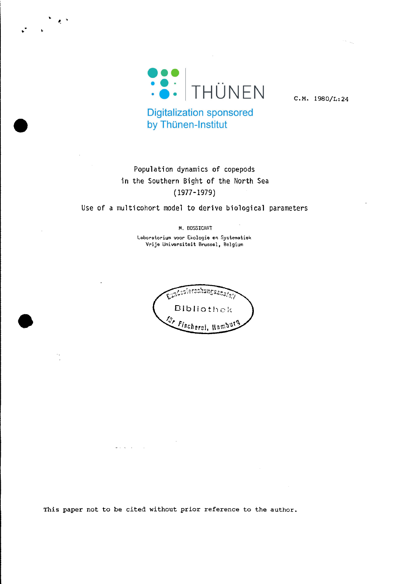

. •

 $\mathbf{A}$ 

C.M. 1980/L:24

**Digitalization sponsored** by Thünen-Institut

# Population dynamics of copepods in the Southern Bight of the North Sea (1977-1979)

Use of a multicohort model to derive biological parameters

M. BOSSICART

**laboratorium voor Ekologie en Systematiek Vrije Universiteit Brussel, Belgiurn**

intesiorschungsanstan Bibliothek Jr Fischerei, Hambl

This paper not to be cited without prior reference to the author.

 $2.12 - 1.$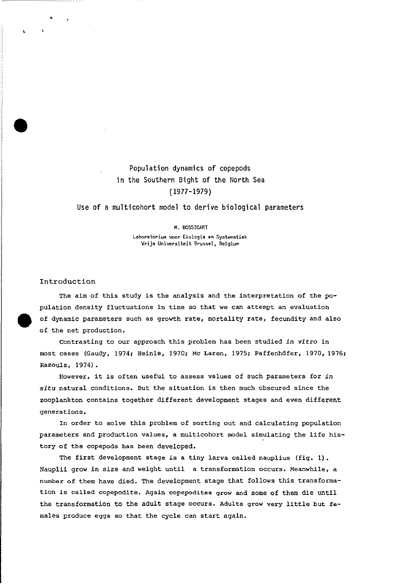# Population dynamics of copepods in the Southern Bight of the North Sea ( 1977-1979)

### Use of a multicohort model to derive biological parameters

#### M. BOSSICART

**Laboratorium voor Ekologie en Systematiek Vrije Universiteit Brussel <sup>j</sup> Belgium**

## Introduction

The aim of this study is the analysis and the interpretation of the population density fluctuations in time so that we can attempt an evaluation of dynamic parameters such as growth rate, mortality rate, fecundity and also of the net production.

contrasting to our approach this problem has been studied *in vitro* in most cases (Gaudy, 1974; Heinle, 1970; Mc Laren, 1975; Paffenhöfer, 1970, 1976; Razouls, 1974).

However, it is often useful to assess values of such parameters for *in situ* natural conditions. But the situation is then much obscured since the zooplankton contains together different development stages and even different generations.

In order to solve this problem of sorting out and calculating population parameters and production values, <sup>a</sup> multicohort model simulating the life history of the copepods has been developed.

The first development stage is <sup>a</sup> tiny larva called nauplius (fig. 1). Nauplii grow in size and weight until a transformation occurs. Meanwhile, a number of them have died. The development stage that follows this transformation is called copepodite. Again copepodites grow and some of them die until the transformation to the adult stage occurs. Adults grow very little but females produce eggs so that the cycle can start again.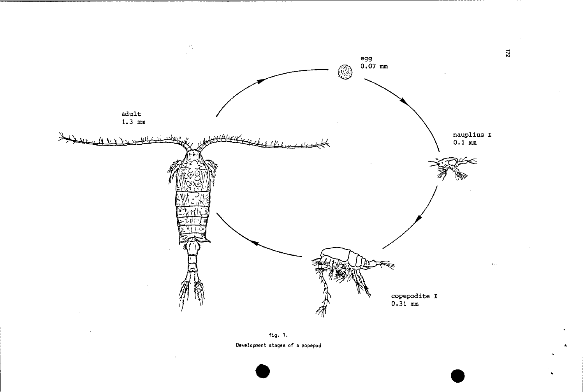

fig. 1. Development stages of a copepod

 $\overline{z}$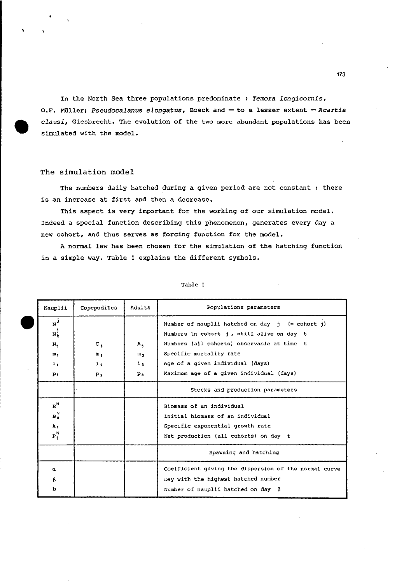In the North Sea three populations predominate : *Temora longicornis,* O.F. Müller; *Pseudocalanus elongatus,* Boeck and - to a lesser extent *-Acartia clausi,* Giesbrecht. The evolution of the two more abundant populations has been simulated with the model.

## The simulation model

The numbers daily hatched during a given period are not constant : there is an increase at first and then a decrease.

This aspect is very important for the working of our simulation model. Indeed a special function describing this phenomenon, generates every day a new cohort, and thus serves as forcing function for the model.

Anormal law has been chosen for the simulation of the hatching function in a simple way. Table 1 explains the different symbols.

| Nauplii                             | Copepodites                      | Adults                          | Populations parameters                                                                                                                                                                                      |  |  |  |  |  |  |
|-------------------------------------|----------------------------------|---------------------------------|-------------------------------------------------------------------------------------------------------------------------------------------------------------------------------------------------------------|--|--|--|--|--|--|
| NJ.<br>$N_t^j$<br>$N_t$<br>m,<br>i, | $c_{+}$<br>m <sub>2</sub><br>1.2 | A,<br>$m_{3}$<br>i <sub>1</sub> | Number of nauplii hatched on day $j$ (= cohort j)<br>Numbers in cohort j, still alive on day t<br>Numbers (all cohorts) observable at time t<br>Specific mortality rate<br>Age of a given individual (days) |  |  |  |  |  |  |
| p,                                  | P <sub>2</sub>                   | $p_{3}$                         | Maximum age of a given individual (days)                                                                                                                                                                    |  |  |  |  |  |  |
|                                     |                                  |                                 | Stocks and production parameters                                                                                                                                                                            |  |  |  |  |  |  |
| $B^N$<br>$B_0^N$<br>k,<br>$P_t^N$   |                                  |                                 | Biomass of an individual<br>Initial biomass of an individual<br>Specific exponential growth rate<br>Net production (all cohorts) on day t                                                                   |  |  |  |  |  |  |
|                                     |                                  |                                 | Spawning and hatching                                                                                                                                                                                       |  |  |  |  |  |  |
| $\alpha$<br>ß<br>ь                  |                                  |                                 | Coefficient giving the dispersion of the normal curve<br>Day with the highest hatched number<br>Number of nauplii hatched on day $\beta$                                                                    |  |  |  |  |  |  |

Table 1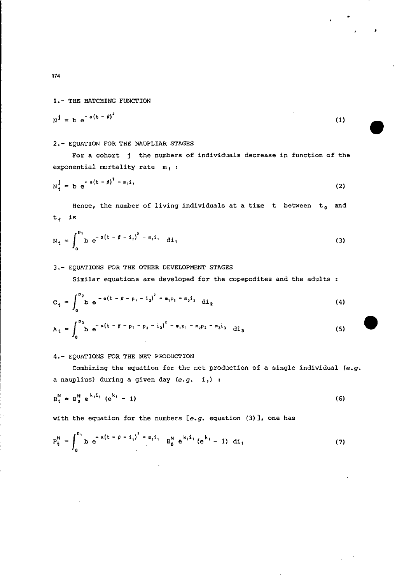1.- THE HATCHING FUNCTION

L.

$$
N^j = D e^{-a(t - \beta)^2}
$$
 (1)

### 2.- EQUATION FOR THE NAUPLIAR STAGES

For a cohort <sup>j</sup> the numbers of individuals decrease in function of the exponential mortality rate m, :

$$
N_t^j = b e^{-a(t - \beta)^2 - m_1 i},
$$
 (2)

Hence, the number of living individuals at a time t between  $t_a$  and  $t_f$  is

$$
N_{t} = \int_{0}^{b_{1}} b e^{-a(t - \beta - i_{1})^{2} - m_{1}i_{1}} di_{1}
$$
 (3)

# 3.- EQUATIONS FOR THE OTHER DEVELOPMENT STAGES

Similar equations are developed for the copepodites and the adults :

$$
C_{t} = \int_{0}^{p_{2}} b e^{-a(t - \beta - p_{1} - i_{2})^{2} - m_{1}p_{1} - m_{2}i_{2}} di_{2}
$$
 (4)

$$
A_t = \int_0^{p_3} b e^{-a(t - \beta - p_1 - p_2 - i_3)^2 - m_1 p_1 - m_2 p_2 - m_3 i_3} di_3
$$
 (5)

#### 4.- EQUATIONS FOR THE NET PRODUCTION

Combining the equation for the net production of a single individual *(e.g.* <sup>a</sup> nauplius) during <sup>a</sup> given day *(e.g.* i,) :

$$
B_t^N = B_0^N e^{k_1 i_1} (e^{k_1} - 1)
$$
 (6)

with the equation for the numbers *[e.g.* equation (3)], one has

$$
P_{t}^{N} = \int_{0}^{b_{1}} b e^{-a(t - \beta - i_{1})^{2} - m_{1}i_{1}} B_{0}^{N} e^{k_{1}i_{1}} (e^{k_{1}} - 1) di_{1}
$$
 (7)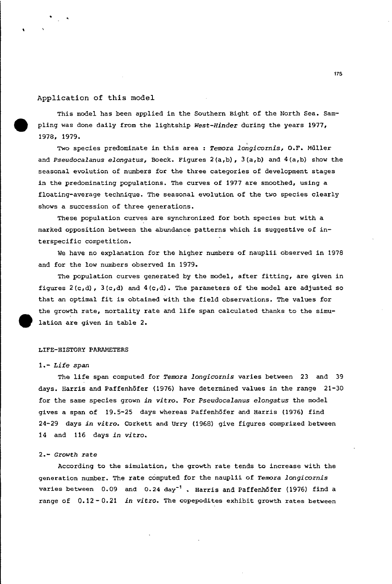#### Application of this model

•

This model has been applied in the Southern Bight of the North Sea. Sampling was done daily from the lightship *West-Rinder* during the years 1977, 1978, 1979.

Two species predominate in this area : *Temora longicornis*, O.F. Müller and *Pseudocalanus elongatus,* Boeck. Figures 2(a,b), 3(a,b) and 4(a,b) show the seasonal evolution of numbers for the three categories of development stages in the predominating populations. The curves of 1977 are smoothed, using a floating-average technique. The seasonal evolution of the two species clearly shows a succession of three generations.

These population curves are synchronized for both species but with a marked opposition between the abundance patterns which is suggestive of interspecific competition.

We have no explanation for the higher numbers of nauplii observed in 1978 and for the low numbers observed in 1979.

The population curves generated by the model, after fitting, are given in figures  $2(c,d)$ ,  $3(c,d)$  and  $4(c,d)$ . The parameters of the model are adjusted so that an optimal fit is obtained with the field observations. The values for the growth rate, mortality rate and life span calculated thanks to the simulation are given in table 2.

### LIFE-HISTORY PARAMETERS

# *1.- Life span*

The life span computed for *Temora longicornis* varies between <sup>23</sup> and <sup>39</sup> days. Harris and Paffenhöfer (1976) have determined values in the range 21-30 for the same species grown *in* vitra. For *Pseudocalanus elongatus* the model gives a span of 19.5-25 days whereas Paffenhöfer and Harris (1976) find 24-29 days *in vitra.* Corkett and Urry (1968) give figures comprized between 14 and 116 days *in vitro.*

#### *2.- Growth* rate

According to the simulation, the growth rate tends to increase with the generation number. The rate computed for the nauplii of *Temora longicornis* varies between 0.09 and 0.24 day<sup>-1</sup>. Harris and Paffenhöfer (1976) find a range of 0.12 - 0.21 *in vitro.* The copepodites exhibit growth rates between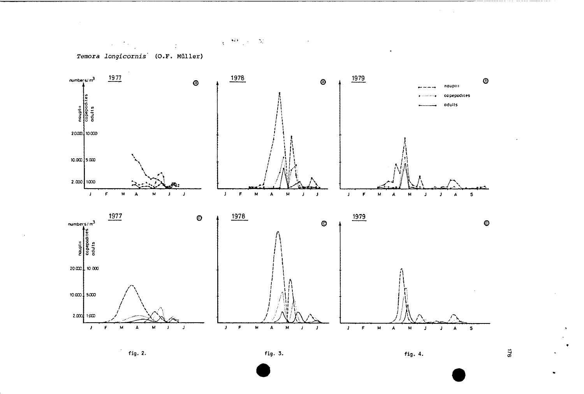$\chi$  ,  $\Theta$  ,  $\psi$  ,  $\infty$ 

 $\alpha$ 

Temora longicornis (O.F. Müller)

 $\label{eq:2.1} \mathcal{L}(\mathcal{L}^{\mathcal{A}}(\mathcal{L}^{\mathcal{A}}_{\mathcal{A}})) = \mathcal{L}(\mathcal{L}^{\mathcal{A}}_{\mathcal{A}}(\mathcal{L}^{\mathcal{A}}_{\mathcal{A}})) = \mathcal{L}(\mathcal{L}^{\mathcal{A}}_{\mathcal{A}}(\mathcal{L}^{\mathcal{A}}_{\mathcal{A}}))$ 



 $\vec{a}$ 

 $\sim$   $\sim$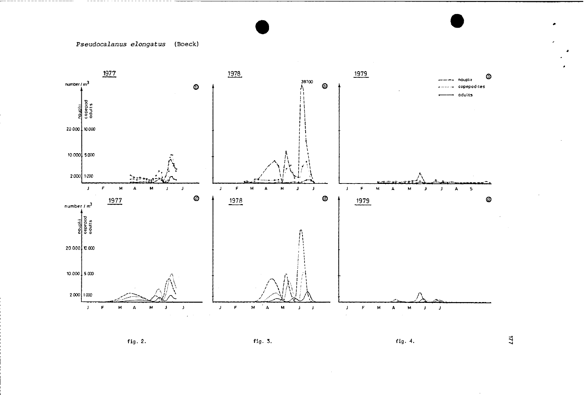# Pseudocalanus elongatus (Boeck)



fig. 2.

# fig. 3.

fig. 4.

 $\mathbf{z}$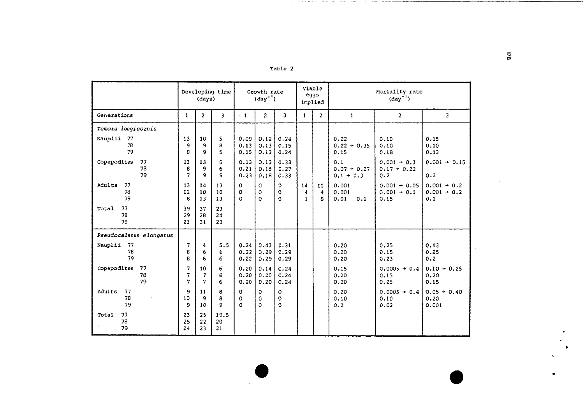|--|--|

|                               | Developing time<br>(days) |                                                 | Growth rate<br>$(\text{day}^{-1})$ |                      |                              | Viable<br>eggs<br>implied |                         | Mortality rate<br>$\text{(day}^{-1})$ |                                     |                                         |                                       |
|-------------------------------|---------------------------|-------------------------------------------------|------------------------------------|----------------------|------------------------------|---------------------------|-------------------------|---------------------------------------|-------------------------------------|-----------------------------------------|---------------------------------------|
| Generations                   | $\mathbf{1}$              | $\overline{2}$                                  | $\overline{\mathbf{3}}$            | $-1$                 | $\overline{a}$               | 3                         | $\mathbf{1}$            | $\overline{2}$                        | $\mathbf{1}$                        | $\overline{2}$                          | $\overline{\mathbf{3}}$               |
| Temora longicornis            |                           |                                                 |                                    |                      |                              |                           |                         |                                       |                                     |                                         |                                       |
| Nauplii<br>77.<br>78<br>79    | 13<br>ą<br>8              | 10<br>9<br>9                                    | 5<br>8<br>5                        | 0.09<br>0.13<br>0.15 | 0.12<br>0.13<br>0.13         | 0.24<br>0.15<br>0.24      |                         |                                       | 0.22<br>$0.22 + 0.35$<br>0.15       | 0.10<br>0.10<br>0.18                    | 0.15<br>0.10<br>0.13                  |
| Copepodites<br>77<br>78<br>79 | 13<br>8<br>7              | 13<br>9<br>9                                    | 5<br>6<br>5                        | 0.13<br>0.21<br>0.23 | 0.13<br>0.18<br>0.18         | 0.33<br>0.27<br>0.33      |                         |                                       | 0.1<br>$0.07 + 0.27$<br>$0.1 + 0.3$ | $0.001 + 0.3$<br>$0.17 + 0.22$<br>0.2   | $0.001 + 0.15$<br>0.2                 |
| Adults<br>77<br>78<br>79      | 13<br>12<br>8             | 14<br>10<br>13                                  | 13<br>10<br>13                     | 0<br>0<br>$\Omega$   | O<br>$\mathbf 0$<br>$\Omega$ | 0<br>$\Omega$<br>$\Omega$ | 14<br>4<br>$\mathbf{1}$ | 11<br>$\overline{a}$<br>я             | 0.001<br>0.001<br>0.01<br>0.1       | $0.001 + 0.05$<br>$0.001 + 0.1$<br>0.15 | $0.001 + 0.2$<br>$0.001 + 0.2$<br>0.1 |
| 77<br>Total<br>78<br>79       | 39<br>29<br>23            | 37<br>28<br>31                                  | 23<br>24<br>23                     |                      |                              |                           |                         |                                       |                                     |                                         |                                       |
| Pseudocalanus elongatus       |                           |                                                 |                                    |                      |                              |                           |                         |                                       |                                     |                                         |                                       |
| 77<br>Nauplii<br>78<br>79     | 7<br>8<br>8               | $\overline{\bf{4}}$<br>6<br>6                   | 5.5<br>6<br>6                      | 0.24<br>0.22<br>0.22 | 0.43<br>0.29<br>0.29         | 0.31<br>0.29<br>0.29      |                         |                                       | 0.20<br>0.20<br>0.20                | 0.25<br>0.15<br>0.23                    | 0.13<br>0.25<br>0.2                   |
| Copepodites<br>77<br>78<br>79 | 7<br>$\overline{ }$<br>7  | 10<br>$\overline{7}$<br>$\overline{\mathbf{z}}$ | 6<br>6<br>6                        | 0.20<br>0.20<br>0.20 | 0.14<br>0.20<br>0.20         | 0.24<br>0.24<br>0.24      |                         |                                       | 0.15<br>0.20<br>0.20                | $0.0005 + 0.4$<br>0.15<br>0.25          | $0.10 + 0.25$<br>0.20<br>0.15         |
| Adults<br>77<br>78<br>79      | q<br>10<br>q              | 11<br>9<br>10                                   | 8<br>8<br>9                        | 0<br>o<br>$\Omega$   | 0<br>0<br>$\Omega$           | ٥<br>o<br>$\Omega$        |                         |                                       | 0.20<br>0.10<br>0.2                 | $0.0005 + 0.4$<br>0.10<br>0.02          | $0.05 \div 0.40$<br>0.20<br>0.001     |
| 77<br>Total<br>78<br>79       | 23<br>25<br>24            | 25<br>22<br>23                                  | 19.5<br>20<br>21                   |                      |                              |                           |                         |                                       |                                     |                                         |                                       |

 $\approx$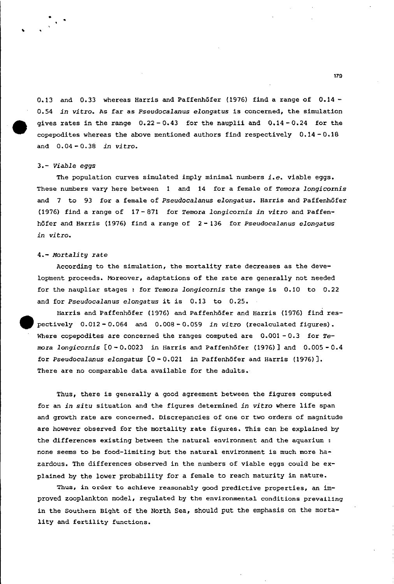0.13 and 0.33 whereas Harris and Paffenhöfer (1976) find a range of 0.14- *0.54 in vitro.* As far as Pseudocalanus *elongatus* is concerned, the simulation gives rates in the range  $0.22 - 0.43$  for the nauplii and  $0.14 - 0.24$  for the copepodites whereas the above mentioned authors find respectively  $0.14 - 0.18$ and 0.04-0.38 *in vitro.*

## *3.- viable eggs*

The population curves simulated imply minimal numbers *i.e.* viable eggs. These numbers vary here between 1 and 14 for a female of *Temora longicornis* and 7 to 93 for a female of *Pseudocalanus elongatus.* Harris and Paffenhöfer (1976) find a range of 17 - 871 for *Temora longicornis in vitro* and Paffenhöfer and Harris (1976) find a range of 2 - 136 for *Pseudocalanus elongatus in vitro.*

#### *4.- Mortality rate*

According to the simulation, the mortality rate decreases as the development proceeds. Moreover, adaptations of the rate are generally not needed for the naupliar stages: for *Temora longicornis* the range is 0.10 to 0.22 and for *Pseudocalanus elongatus* it is 0.13 to 0.25.

Harris and Paffenhöfer (1976) and Paffenhöfer and Harris (1976) find res- e pectively 0.012 - 0.064 and 0.008 - 0.059 *in vitra* (recalculated figures) • Where copepodites are concerned the ranges computed are 0.001 - 0.3 for *Temora longicornis* [0-0.0023 in Harris and Paffenhöfer (1976)] and 0.005-0.4 for *Pseudocalanus elongatus* [0 - 0.021 in Paffenhöfer and Harris (1976)]. There are no comparable data available for the adults.

Thus, there is generally a good agreement between the figures computed for an *in situ* situation and the figures determined *in vitro* where life span and growth rate are concerned. Discrepancies of one or two orders of magnitude are however observed for the mortality rate figures. This can be explained by the differences existing between the natural environment and the aquarium : none seems to be food-limiting but the natural environment is much more hazardous. The differences observed in the numbers of viable eggs could be explained by the lower probability for a female to reach maturity in nature.

Thus, in order to achieve reasonably good predictive properties, an improved zooplankton model, regulated by the environmental conditions preval11ng in the Southern Bight of the North Sea, should put the emphasis on the mortality and fertility functions.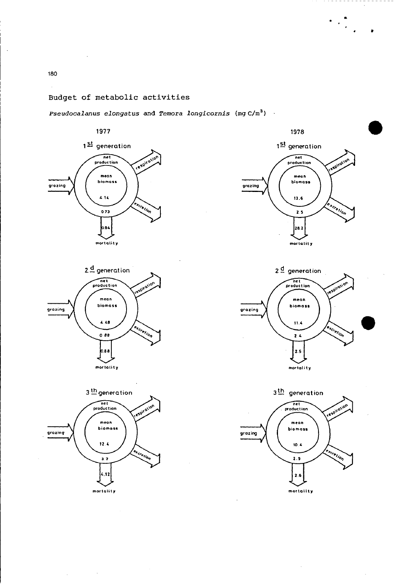# Budget of metabolie aetivities

*Pseudocalanus elongatus* and *Temora longicornis* (mg c/m<sup>3</sup> )





**mortality**





 $\left\langle \cdot \right\rangle_{\mathcal{L}_{\mathcal{L}_{\mathcal{L}}}}^{\mathcal{L}_{\mathcal{L}}}$ 



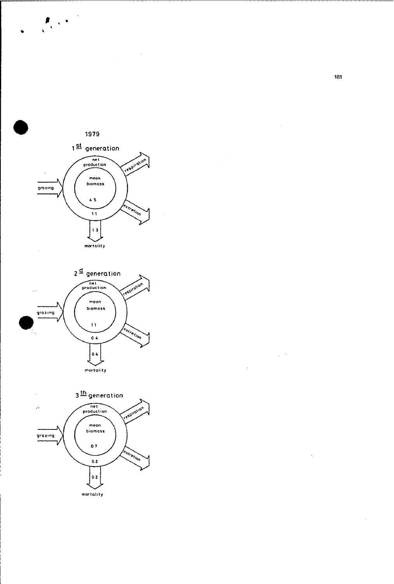

 $\label{eq:2.1} \frac{1}{\sqrt{2\pi}}\int_{0}^{\infty}\frac{1}{\sqrt{2\pi}}\left(\frac{1}{\sqrt{2\pi}}\right)^{2}d\theta\,d\theta.$ 





181

 $\bar{z}$ 

 $\zeta \to \zeta$